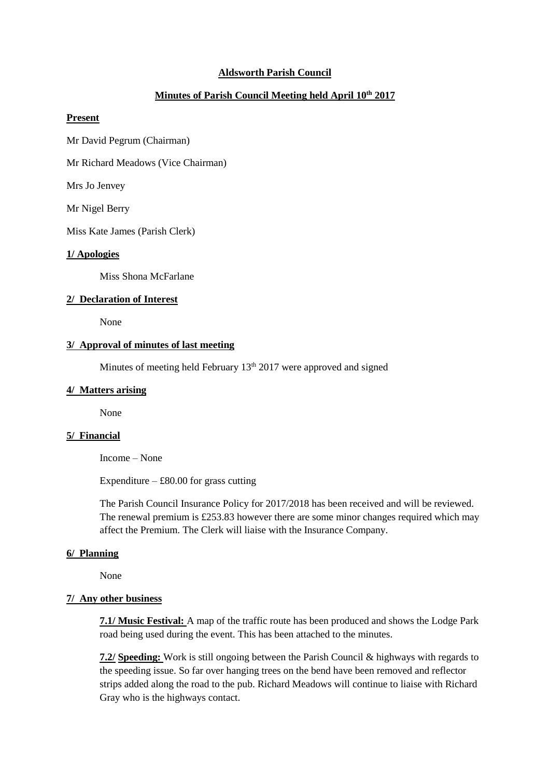## **Aldsworth Parish Council**

# **Minutes of Parish Council Meeting held April 10th 2017**

# **Present**

Mr David Pegrum (Chairman)

Mr Richard Meadows (Vice Chairman)

Mrs Jo Jenvey

Mr Nigel Berry

Miss Kate James (Parish Clerk)

#### **1/ Apologies**

Miss Shona McFarlane

# **2/ Declaration of Interest**

None

# **3/ Approval of minutes of last meeting**

Minutes of meeting held February  $13<sup>th</sup> 2017$  were approved and signed

### **4/ Matters arising**

None

### **5/ Financial**

Income – None

Expenditure –  $\text{\pounds}80.00$  for grass cutting

The Parish Council Insurance Policy for 2017/2018 has been received and will be reviewed. The renewal premium is £253.83 however there are some minor changes required which may affect the Premium. The Clerk will liaise with the Insurance Company.

#### **6/ Planning**

None

### **7/ Any other business**

**7.1/ Music Festival:** A map of the traffic route has been produced and shows the Lodge Park road being used during the event. This has been attached to the minutes.

**7.2/ Speeding:** Work is still ongoing between the Parish Council & highways with regards to the speeding issue. So far over hanging trees on the bend have been removed and reflector strips added along the road to the pub. Richard Meadows will continue to liaise with Richard Gray who is the highways contact.